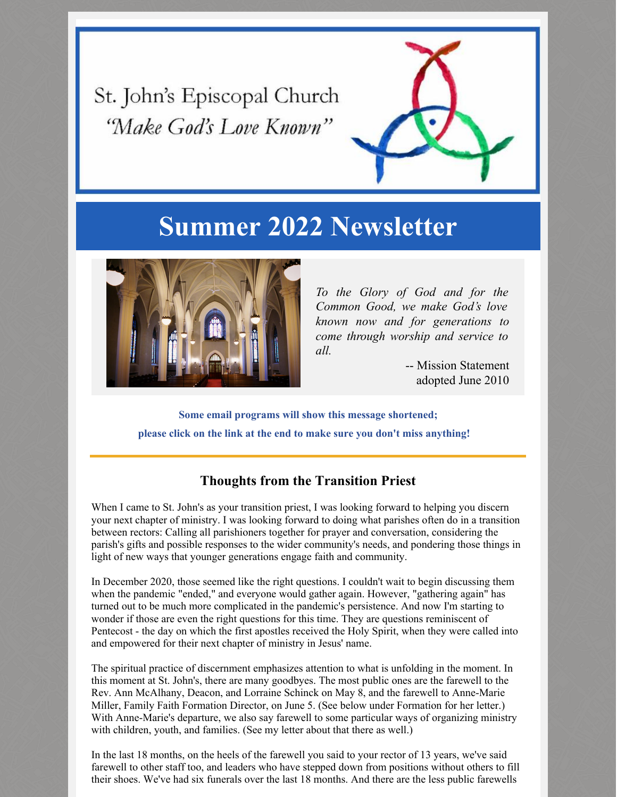St. John's Episcopal Church 'Make God's Love Known"



# **Summer 2022 Newsletter**



*To the Glory of God and for the Common Good, we make God's love known now and for generations to come through worship and service to all.*

> -- Mission Statement adopted June 2010

**Some email programs will show this message shortened; please click on the link at the end to make sure you don't miss anything!**

## **Thoughts from the Transition Priest**

When I came to St. John's as your transition priest, I was looking forward to helping you discern your next chapter of ministry. I was looking forward to doing what parishes often do in a transition between rectors: Calling all parishioners together for prayer and conversation, considering the parish's gifts and possible responses to the wider community's needs, and pondering those things in light of new ways that younger generations engage faith and community.

In December 2020, those seemed like the right questions. I couldn't wait to begin discussing them when the pandemic "ended," and everyone would gather again. However, "gathering again" has turned out to be much more complicated in the pandemic's persistence. And now I'm starting to wonder if those are even the right questions for this time. They are questions reminiscent of Pentecost - the day on which the first apostles received the Holy Spirit, when they were called into and empowered for their next chapter of ministry in Jesus' name.

The spiritual practice of discernment emphasizes attention to what is unfolding in the moment. In this moment at St. John's, there are many goodbyes. The most public ones are the farewell to the Rev. Ann McAlhany, Deacon, and Lorraine Schinck on May 8, and the farewell to Anne-Marie Miller, Family Faith Formation Director, on June 5. (See below under Formation for her letter.) With Anne-Marie's departure, we also say farewell to some particular ways of organizing ministry with children, youth, and families. (See my letter about that there as well.)

In the last 18 months, on the heels of the farewell you said to your rector of 13 years, we've said farewell to other staff too, and leaders who have stepped down from positions without others to fill their shoes. We've had six funerals over the last 18 months. And there are the less public farewells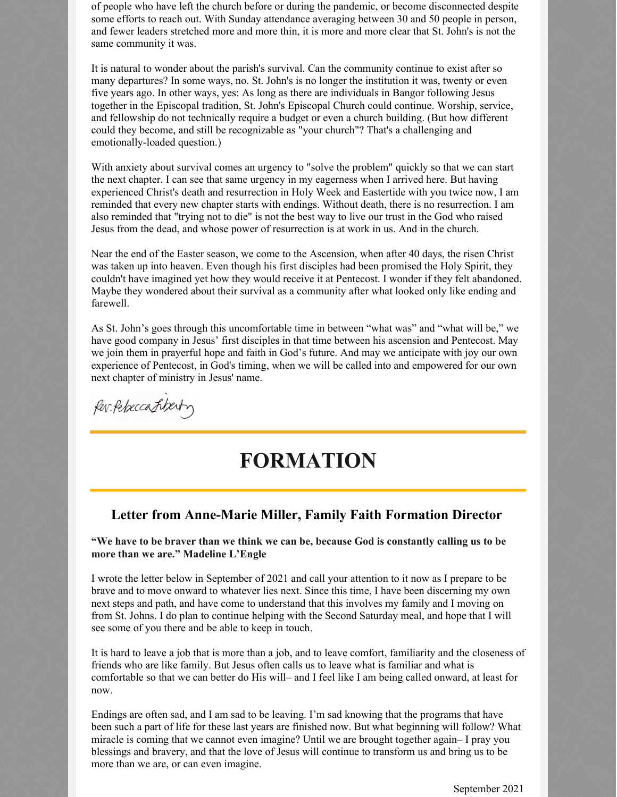of people who have left the church before or during the pandemic, or become disconnected despite some efforts to reach out. With Sunday attendance averaging between 30 and 50 people in person, and fewer leaders stretched more and more thin, it is more and more clear that St. John's is not the same community it was.

It is natural to wonder about the parish's survival. Can the community continue to exist after so many departures? In some ways, no. St. John's is no longer the institution it was, twenty or even five years ago. In other ways, yes: As long as there are individuals in Bangor following Jesus together in the Episcopal tradition, St. John's Episcopal Church could continue. Worship, service, and fellowship do not technically require a budget or even a church building. (But how different could they become, and still be recognizable as "your church"? That's a challenging and emotionally-loaded question.)

With anxiety about survival comes an urgency to "solve the problem" quickly so that we can start the next chapter. I can see that same urgency in my eagerness when I arrived here. But having experienced Christ's death and resurrection in Holy Week and Eastertide with you twice now, I am reminded that every new chapter starts with endings. Without death, there is no resurrection. I am also reminded that "trying not to die" is not the best way to live our trust in the God who raised Jesus from the dead, and whose power of resurrection is at work in us. And in the church.

Near the end of the Easter season, we come to the Ascension, when after 40 days, the risen Christ was taken up into heaven. Even though his first disciples had been promised the Holy Spirit, they couldn't have imagined yet how they would receive it at Pentecost. I wonder if they felt abandoned. Maybe they wondered about their survival as a community after what looked only like ending and farewell.

As St. John's goes through this uncomfortable time in between "what was" and "what will be," we have good company in Jesus' first disciples in that time between his ascension and Pentecost. May we join them in prayerful hope and faith in God's future. And may we anticipate with joy our own experience of Pentecost, in God's timing, when we will be called into and empowered for our own next chapter of ministry in Jesus' name.

for Pebeccatiberty

# **FORMATION**

### **Letter from Anne-Marie Miller, Family Faith Formation Director**

**"We have to be braver than we think we can be, because God is constantly calling us to be more than we are." Madeline L'Engle**

I wrote the letter below in September of 2021 and call your attention to it now as I prepare to be brave and to move onward to whatever lies next. Since this time, I have been discerning my own next steps and path, and have come to understand that this involves my family and I moving on from St. Johns. I do plan to continue helping with the Second Saturday meal, and hope that I will see some of you there and be able to keep in touch.

It is hard to leave a job that is more than a job, and to leave comfort, familiarity and the closeness of friends who are like family. But Jesus often calls us to leave what is familiar and what is comfortable so that we can better do His will– and I feel like I am being called onward, at least for now.

Endings are often sad, and I am sad to be leaving. I'm sad knowing that the programs that have been such a part of life for these last years are finished now. But what beginning will follow? What miracle is coming that we cannot even imagine? Until we are brought together again– I pray you blessings and bravery, and that the love of Jesus will continue to transform us and bring us to be more than we are, or can even imagine.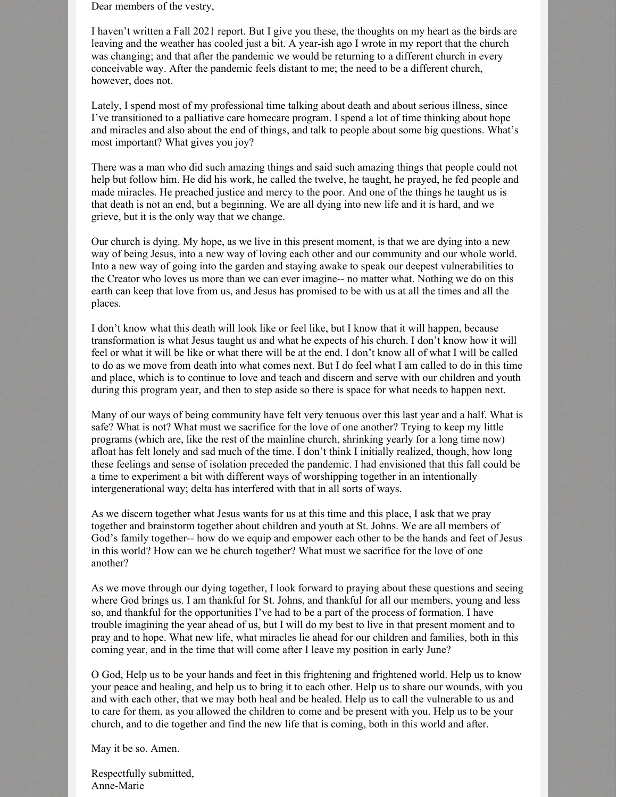Dear members of the vestry,

I haven't written a Fall 2021 report. But I give you these, the thoughts on my heart as the birds are leaving and the weather has cooled just a bit. A year-ish ago I wrote in my report that the church was changing; and that after the pandemic we would be returning to a different church in every conceivable way. After the pandemic feels distant to me; the need to be a different church, however, does not.

Lately, I spend most of my professional time talking about death and about serious illness, since I've transitioned to a palliative care homecare program. I spend a lot of time thinking about hope and miracles and also about the end of things, and talk to people about some big questions. What's most important? What gives you joy?

There was a man who did such amazing things and said such amazing things that people could not help but follow him. He did his work, he called the twelve, he taught, he prayed, he fed people and made miracles. He preached justice and mercy to the poor. And one of the things he taught us is that death is not an end, but a beginning. We are all dying into new life and it is hard, and we grieve, but it is the only way that we change.

Our church is dying. My hope, as we live in this present moment, is that we are dying into a new way of being Jesus, into a new way of loving each other and our community and our whole world. Into a new way of going into the garden and staying awake to speak our deepest vulnerabilities to the Creator who loves us more than we can ever imagine-- no matter what. Nothing we do on this earth can keep that love from us, and Jesus has promised to be with us at all the times and all the places.

I don't know what this death will look like or feel like, but I know that it will happen, because transformation is what Jesus taught us and what he expects of his church. I don't know how it will feel or what it will be like or what there will be at the end. I don't know all of what I will be called to do as we move from death into what comes next. But I do feel what I am called to do in this time and place, which is to continue to love and teach and discern and serve with our children and youth during this program year, and then to step aside so there is space for what needs to happen next.

Many of our ways of being community have felt very tenuous over this last year and a half. What is safe? What is not? What must we sacrifice for the love of one another? Trying to keep my little programs (which are, like the rest of the mainline church, shrinking yearly for a long time now) afloat has felt lonely and sad much of the time. I don't think I initially realized, though, how long these feelings and sense of isolation preceded the pandemic. I had envisioned that this fall could be a time to experiment a bit with different ways of worshipping together in an intentionally intergenerational way; delta has interfered with that in all sorts of ways.

As we discern together what Jesus wants for us at this time and this place, I ask that we pray together and brainstorm together about children and youth at St. Johns. We are all members of God's family together-- how do we equip and empower each other to be the hands and feet of Jesus in this world? How can we be church together? What must we sacrifice for the love of one another?

As we move through our dying together, I look forward to praying about these questions and seeing where God brings us. I am thankful for St. Johns, and thankful for all our members, young and less so, and thankful for the opportunities I've had to be a part of the process of formation. I have trouble imagining the year ahead of us, but I will do my best to live in that present moment and to pray and to hope. What new life, what miracles lie ahead for our children and families, both in this coming year, and in the time that will come after I leave my position in early June?

O God, Help us to be your hands and feet in this frightening and frightened world. Help us to know your peace and healing, and help us to bring it to each other. Help us to share our wounds, with you and with each other, that we may both heal and be healed. Help us to call the vulnerable to us and to care for them, as you allowed the children to come and be present with you. Help us to be your church, and to die together and find the new life that is coming, both in this world and after.

May it be so. Amen.

Respectfully submitted, Anne-Marie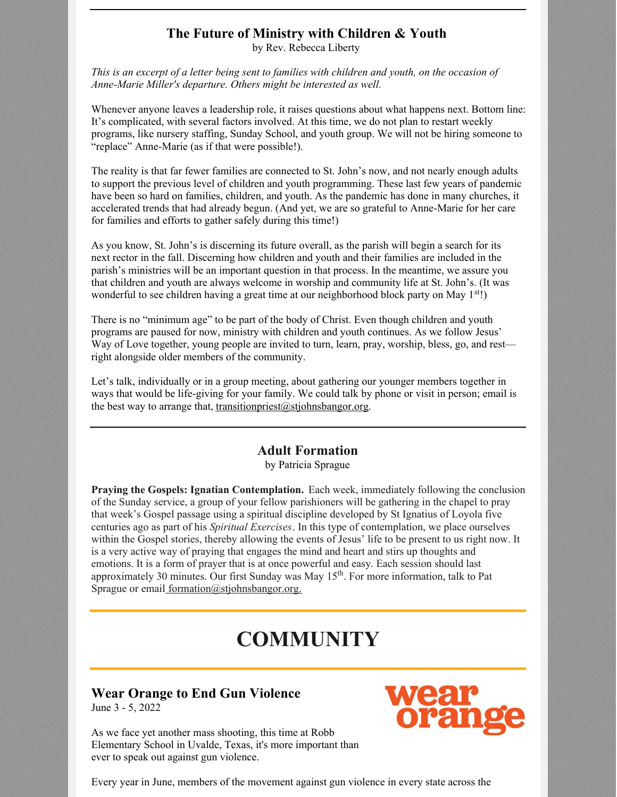## **The Future of Ministry with Children & Youth**

by Rev. Rebecca Liberty

This is an excerpt of a letter being sent to families with children and youth, on the occasion of *Anne-Marie Miller's departure. Others might be interested as well.*

Whenever anyone leaves a leadership role, it raises questions about what happens next. Bottom line: It's complicated, with several factors involved. At this time, we do not plan to restart weekly programs, like nursery staffing, Sunday School, and youth group. We will not be hiring someone to "replace" Anne-Marie (as if that were possible!).

The reality is that far fewer families are connected to St. John's now, and not nearly enough adults to support the previous level of children and youth programming. These last few years of pandemic have been so hard on families, children, and youth. As the pandemic has done in many churches, it accelerated trends that had already begun. (And yet, we are so grateful to Anne-Marie for her care for families and efforts to gather safely during this time!)

As you know, St. John's is discerning its future overall, as the parish will begin a search for its next rector in the fall. Discerning how children and youth and their families are included in the parish's ministries will be an important question in that process. In the meantime, we assure you that children and youth are always welcome in worship and community life at St. John's. (It was wonderful to see children having a great time at our neighborhood block party on May 1<sup>st</sup>!)

There is no "minimum age" to be part of the body of Christ. Even though children and youth programs are paused for now, ministry with children and youth continues. As we follow Jesus' Way of Love together, young people are invited to turn, learn, pray, worship, bless, go, and rest right alongside older members of the community.

Let's talk, individually or in a group meeting, about gathering our younger members together in ways that would be life-giving for your family. We could talk by phone or visit in person; email is the best way to arrange that, transition priest  $(a)$  stiohnsbangor.org.

### **Adult Formation**

by Patricia Sprague

**Praying the Gospels: Ignatian Contemplation.** Each week, immediately following the conclusion of the Sunday service, a group of your fellow parishioners will be gathering in the chapel to pray that week's Gospel passage using a spiritual discipline developed by St Ignatius of Loyola five centuries ago as part of his *Spiritual Exercises*. In this type of contemplation, we place ourselves within the Gospel stories, thereby allowing the events of Jesus' life to be present to us right now. It is a very active way of praying that engages the mind and heart and stirs up thoughts and emotions. It is a form of prayer that is at once powerful and easy. Each session should last approximately 30 minutes. Our first Sunday was May 15<sup>th</sup>. For more information, talk to Pat Sprague or email [formation@stjohnsbangor.org.](mailto:formation@stjohnsbangor.org)

# **COMMUNITY**

## **Wear Orange to End Gun Violence**

June 3 - 5, 2022

As we face yet another mass shooting, this time at Robb Elementary School in Uvalde, Texas, it's more important than ever to speak out against gun violence.



Every year in June, members of the movement against gun violence in every state across the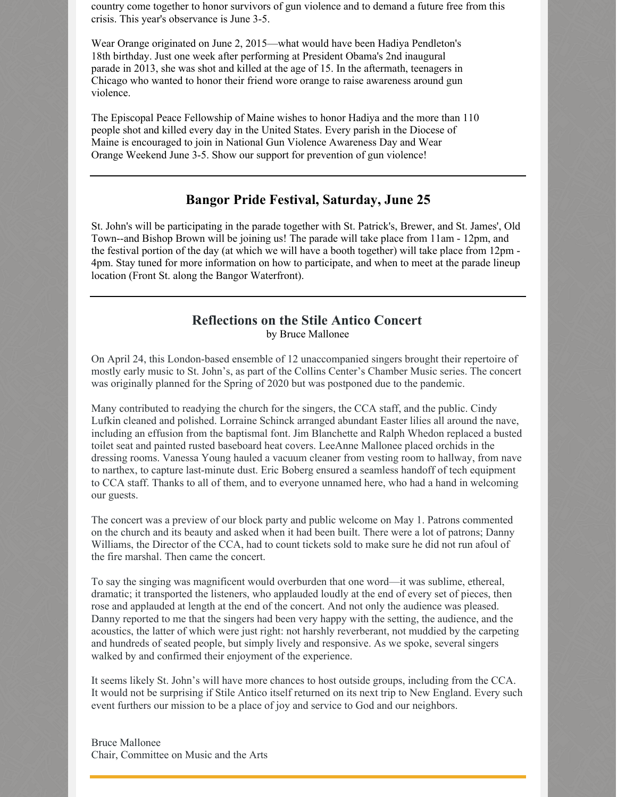country come together to honor survivors of gun violence and to demand a future free from this crisis. This year's observance is June 3-5.

Wear Orange originated on June 2, 2015—what would have been Hadiya Pendleton's 18th birthday. Just one week after performing at President Obama's 2nd inaugural parade in 2013, she was shot and killed at the age of 15. In the aftermath, teenagers in Chicago who wanted to honor their friend wore orange to raise awareness around gun violence.

The Episcopal Peace Fellowship of Maine wishes to honor Hadiya and the more than 110 people shot and killed every day in the United States. Every parish in the Diocese of Maine is encouraged to join in National Gun Violence Awareness Day and Wear Orange Weekend June 3-5. Show our support for prevention of gun violence!

### **Bangor Pride Festival, Saturday, June 25**

St. John's will be participating in the parade together with St. Patrick's, Brewer, and St. James', Old Town--and Bishop Brown will be joining us! The parade will take place from 11am - 12pm, and the festival portion of the day (at which we will have a booth together) will take place from 12pm - 4pm. Stay tuned for more information on how to participate, and when to meet at the parade lineup location (Front St. along the Bangor Waterfront).

### **Reflections on the Stile Antico Concert** by Bruce Mallonee

On April 24, this London-based ensemble of 12 unaccompanied singers brought their repertoire of mostly early music to St. John's, as part of the Collins Center's Chamber Music series. The concert was originally planned for the Spring of 2020 but was postponed due to the pandemic.

Many contributed to readying the church for the singers, the CCA staff, and the public. Cindy Lufkin cleaned and polished. Lorraine Schinck arranged abundant Easter lilies all around the nave, including an effusion from the baptismal font. Jim Blanchette and Ralph Whedon replaced a busted toilet seat and painted rusted baseboard heat covers. LeeAnne Mallonee placed orchids in the dressing rooms. Vanessa Young hauled a vacuum cleaner from vesting room to hallway, from nave to narthex, to capture last-minute dust. Eric Boberg ensured a seamless handoff of tech equipment to CCA staff. Thanks to all of them, and to everyone unnamed here, who had a hand in welcoming our guests.

The concert was a preview of our block party and public welcome on May 1. Patrons commented on the church and its beauty and asked when it had been built. There were a lot of patrons; Danny Williams, the Director of the CCA, had to count tickets sold to make sure he did not run afoul of the fire marshal. Then came the concert.

To say the singing was magnificent would overburden that one word—it was sublime, ethereal, dramatic; it transported the listeners, who applauded loudly at the end of every set of pieces, then rose and applauded at length at the end of the concert. And not only the audience was pleased. Danny reported to me that the singers had been very happy with the setting, the audience, and the acoustics, the latter of which were just right: not harshly reverberant, not muddied by the carpeting and hundreds of seated people, but simply lively and responsive. As we spoke, several singers walked by and confirmed their enjoyment of the experience.

It seems likely St. John's will have more chances to host outside groups, including from the CCA. It would not be surprising if Stile Antico itself returned on its next trip to New England. Every such event furthers our mission to be a place of joy and service to God and our neighbors.

Bruce Mallonee Chair, Committee on Music and the Arts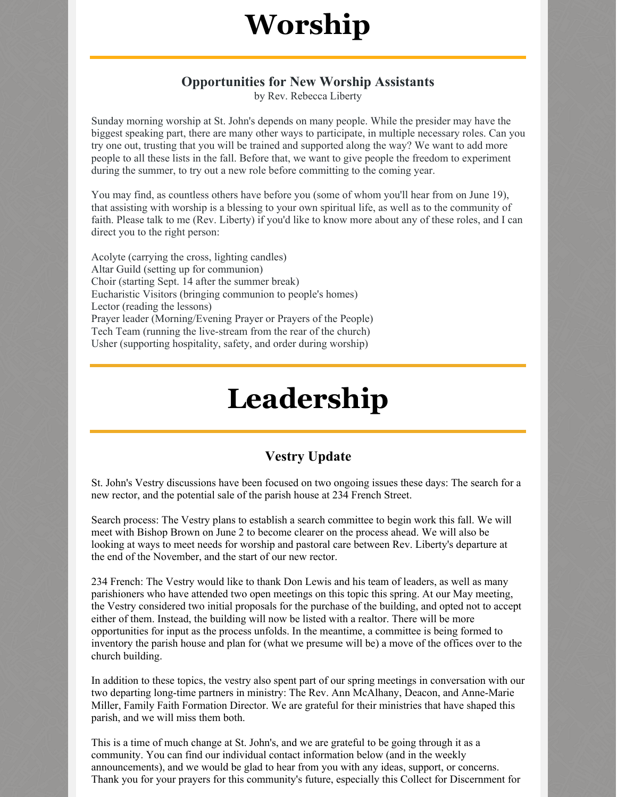# **Worship**

### **Opportunities for New Worship Assistants**

by Rev. Rebecca Liberty

Sunday morning worship at St. John's depends on many people. While the presider may have the biggest speaking part, there are many other ways to participate, in multiple necessary roles. Can you try one out, trusting that you will be trained and supported along the way? We want to add more people to all these lists in the fall. Before that, we want to give people the freedom to experiment during the summer, to try out a new role before committing to the coming year.

You may find, as countless others have before you (some of whom you'll hear from on June 19), that assisting with worship is a blessing to your own spiritual life, as well as to the community of faith. Please talk to me (Rev. Liberty) if you'd like to know more about any of these roles, and I can direct you to the right person:

Acolyte (carrying the cross, lighting candles) Altar Guild (setting up for communion) Choir (starting Sept. 14 after the summer break) Eucharistic Visitors (bringing communion to people's homes) Lector (reading the lessons) Prayer leader (Morning/Evening Prayer or Prayers of the People) Tech Team (running the live-stream from the rear of the church) Usher (supporting hospitality, safety, and order during worship)

# **Leadership**

## **Vestry Update**

St. John's Vestry discussions have been focused on two ongoing issues these days: The search for a new rector, and the potential sale of the parish house at 234 French Street.

Search process: The Vestry plans to establish a search committee to begin work this fall. We will meet with Bishop Brown on June 2 to become clearer on the process ahead. We will also be looking at ways to meet needs for worship and pastoral care between Rev. Liberty's departure at the end of the November, and the start of our new rector.

234 French: The Vestry would like to thank Don Lewis and his team of leaders, as well as many parishioners who have attended two open meetings on this topic this spring. At our May meeting, the Vestry considered two initial proposals for the purchase of the building, and opted not to accept either of them. Instead, the building will now be listed with a realtor. There will be more opportunities for input as the process unfolds. In the meantime, a committee is being formed to inventory the parish house and plan for (what we presume will be) a move of the offices over to the church building.

In addition to these topics, the vestry also spent part of our spring meetings in conversation with our two departing long-time partners in ministry: The Rev. Ann McAlhany, Deacon, and Anne-Marie Miller, Family Faith Formation Director. We are grateful for their ministries that have shaped this parish, and we will miss them both.

This is a time of much change at St. John's, and we are grateful to be going through it as a community. You can find our individual contact information below (and in the weekly announcements), and we would be glad to hear from you with any ideas, support, or concerns. Thank you for your prayers for this community's future, especially this Collect for Discernment for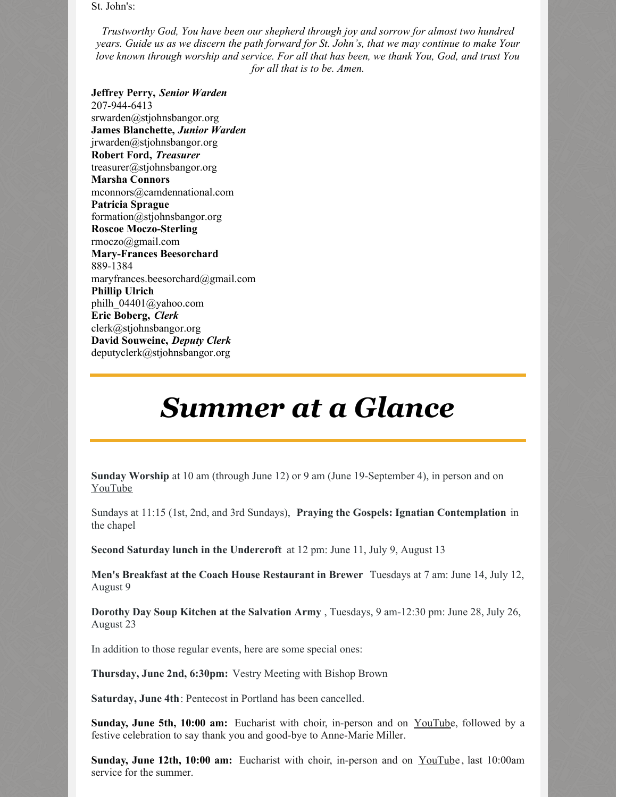St. John's:

*Trustworthy God, You have been our shepherd through joy and sorrow for almost two hundred* years. Guide us as we discern the path forward for St. John's, that we may continue to make Your *love known through worship and service. For all that has been, we thank You, God, and trust You for all that is to be. Amen.*

**Jeffrey Perry,** *Senior Warden* 207-944-6413 srwarden@stjohnsbangor.org **James Blanchette,** *Junior Warden* jrwarden@stjohnsbangor.org **Robert Ford,** *Treasurer* treasurer@stjohnsbangor.org **Marsha Connors** mconnors@camdennational.com **Patricia Sprague** formation@stjohnsbangor.org **Roscoe Moczo-Sterling** rmoczo@gmail.com **Mary-Frances Beesorchard** 889-1384 maryfrances.beesorchard@gmail.com **Phillip Ulrich** philh\_04401@yahoo.com **Eric Boberg,** *Clerk* clerk@stjohnsbangor.org **David Souweine,** *Deputy Clerk* deputyclerk@stjohnsbangor.org

# *Summer at a Glance*

**Sunday Worship** at 10 am (through June 12) or 9 am (June 19-September 4), in person and on [YouTube](https://www.youtube.com/channel/UCFk1vPBqjWoCRZBlIKGActw/videos)

Sundays at 11:15 (1st, 2nd, and 3rd Sundays), **Praying the Gospels: Ignatian Contemplation** in the chapel

**Second Saturday lunch in the Undercroft** at 12 pm: June 11, July 9, August 13

**Men's Breakfast at the Coach House Restaurant in Brewer** Tuesdays at 7 am: June 14, July 12, August 9

**Dorothy Day Soup Kitchen at the Salvation Army** , Tuesdays, 9 am-12:30 pm: June 28, July 26, August 23

In addition to those regular events, here are some special ones:

**Thursday, June 2nd, 6:30pm:** Vestry Meeting with Bishop Brown

**Saturday, June 4th**: Pentecost in Portland has been cancelled.

**Sunday, June 5th, 10:00 am:** Eucharist with choir, in-person and on [YouTub](https://www.youtube.com/channel/UCFk1vPBqjWoCRZBlIKGActw/videos)e, followed by a festive celebration to say thank you and good-bye to Anne-Marie Miller.

**Sunday, June 12th, 10:00 am:** Eucharist with choir, in-person and on [YouTub](https://www.youtube.com/channel/UCFk1vPBqjWoCRZBlIKGActw/videos)e , last 10:00am service for the summer.